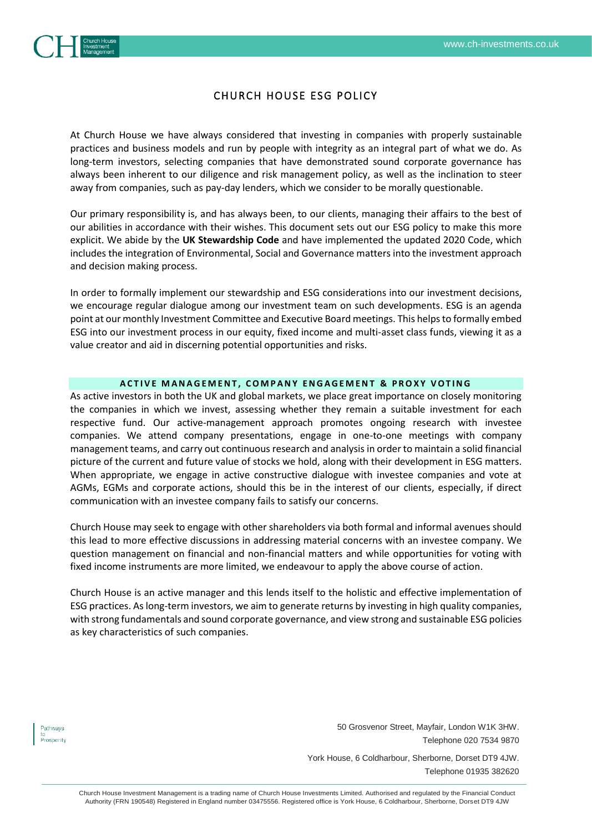

# CHURCH HOUSE ESG POLICY

At Church House we have always considered that investing in companies with properly sustainable practices and business models and run by people with integrity as an integral part of what we do. As long-term investors, selecting companies that have demonstrated sound corporate governance has always been inherent to our diligence and risk management policy, as well as the inclination to steer away from companies, such as pay-day lenders, which we consider to be morally questionable.

Our primary responsibility is, and has always been, to our clients, managing their affairs to the best of our abilities in accordance with their wishes. This document sets out our ESG policy to make this more explicit. We abide by the **UK Stewardship Code** and have implemented the updated 2020 Code, which includes the integration of Environmental, Social and Governance matters into the investment approach and decision making process.

In order to formally implement our stewardship and ESG considerations into our investment decisions, we encourage regular dialogue among our investment team on such developments. ESG is an agenda point at our monthly Investment Committee and Executive Board meetings. This helps to formally embed ESG into our investment process in our equity, fixed income and multi-asset class funds, viewing it as a value creator and aid in discerning potential opportunities and risks.

## **ACTIVE MANAGEMENT, COMPANY ENGAGEMENT & PROXY VOTING**

As active investors in both the UK and global markets, we place great importance on closely monitoring the companies in which we invest, assessing whether they remain a suitable investment for each respective fund. Our active-management approach promotes ongoing research with investee companies. We attend company presentations, engage in one-to-one meetings with company management teams, and carry out continuous research and analysis in order to maintain a solid financial picture of the current and future value of stocks we hold, along with their development in ESG matters. When appropriate, we engage in active constructive dialogue with investee companies and vote at AGMs, EGMs and corporate actions, should this be in the interest of our clients, especially, if direct communication with an investee company fails to satisfy our concerns.

Church House may seek to engage with other shareholders via both formal and informal avenues should this lead to more effective discussions in addressing material concerns with an investee company. We question management on financial and non-financial matters and while opportunities for voting with fixed income instruments are more limited, we endeavour to apply the above course of action.

Church House is an active manager and this lends itself to the holistic and effective implementation of ESG practices. As long-term investors, we aim to generate returns by investing in high quality companies, with strong fundamentals and sound corporate governance, and view strong and sustainable ESG policies as key characteristics of such companies.

Pathways to<br>Prosperity 50 Grosvenor Street, Mayfair, London W1K 3HW. Telephone 020 7534 9870

York House, 6 Coldharbour, Sherborne, Dorset DT9 4JW. Telephone 01935 382620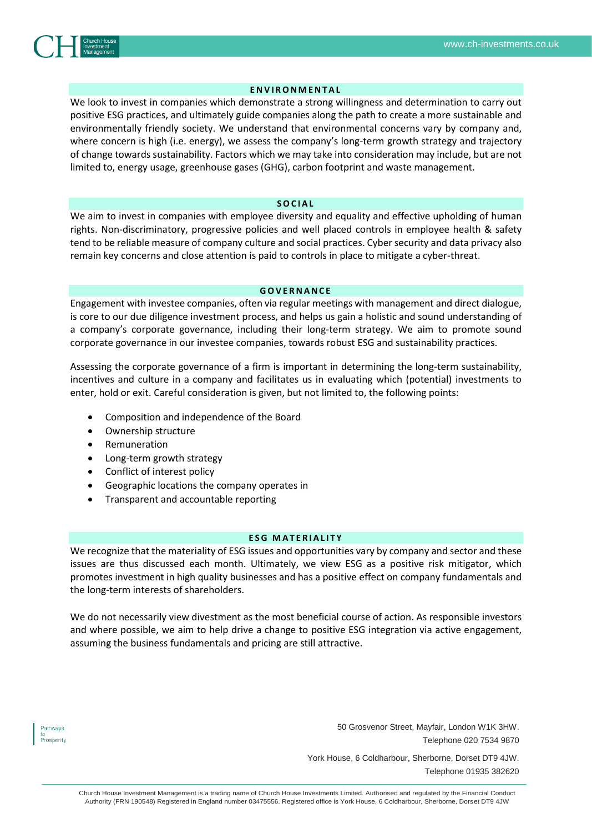

## **E N V I R O N M E N T A L**

We look to invest in companies which demonstrate a strong willingness and determination to carry out positive ESG practices, and ultimately guide companies along the path to create a more sustainable and environmentally friendly society. We understand that environmental concerns vary by company and, where concern is high (i.e. energy), we assess the company's long-term growth strategy and trajectory of change towards sustainability. Factors which we may take into consideration may include, but are not limited to, energy usage, greenhouse gases (GHG), carbon footprint and waste management.

### **S O C I A L**

We aim to invest in companies with employee diversity and equality and effective upholding of human rights. Non-discriminatory, progressive policies and well placed controls in employee health & safety tend to be reliable measure of company culture and social practices. Cyber security and data privacy also remain key concerns and close attention is paid to controls in place to mitigate a cyber-threat.

### **G O V E R N A N C E**

Engagement with investee companies, often via regular meetings with management and direct dialogue, is core to our due diligence investment process, and helps us gain a holistic and sound understanding of a company's corporate governance, including their long-term strategy. We aim to promote sound corporate governance in our investee companies, towards robust ESG and sustainability practices.

Assessing the corporate governance of a firm is important in determining the long-term sustainability, incentives and culture in a company and facilitates us in evaluating which (potential) investments to enter, hold or exit. Careful consideration is given, but not limited to, the following points:

- Composition and independence of the Board
- Ownership structure
- Remuneration
- Long-term growth strategy
- Conflict of interest policy
- Geographic locations the company operates in
- Transparent and accountable reporting

## **ESG MATERIALITY**

We recognize that the materiality of ESG issues and opportunities vary by company and sector and these issues are thus discussed each month. Ultimately, we view ESG as a positive risk mitigator, which promotes investment in high quality businesses and has a positive effect on company fundamentals and the long-term interests of shareholders.

We do not necessarily view divestment as the most beneficial course of action. As responsible investors and where possible, we aim to help drive a change to positive ESG integration via active engagement, assuming the business fundamentals and pricing are still attractive.

Pathways to<br>Prosperity 50 Grosvenor Street, Mayfair, London W1K 3HW. Telephone 020 7534 9870

York House, 6 Coldharbour, Sherborne, Dorset DT9 4JW. Telephone 01935 382620

Church House Investment Management is a trading name of Church House Investments Limited. Authorised and regulated by the Financial Conduct Authority (FRN 190548) Registered in England number 03475556. Registered office is York House, 6 Coldharbour, Sherborne, Dorset DT9 4JW